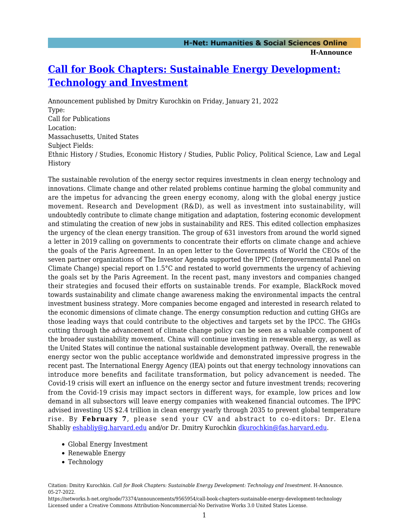## **[Call for Book Chapters: Sustainable Energy Development:](https://networks.h-net.org/node/73374/announcements/9565954/call-book-chapters-sustainable-energy-development-technology) [Technology and Investment](https://networks.h-net.org/node/73374/announcements/9565954/call-book-chapters-sustainable-energy-development-technology)**

Announcement published by Dmitry Kurochkin on Friday, January 21, 2022 Type: Call for Publications Location: Massachusetts, United States Subject Fields: Ethnic History / Studies, Economic History / Studies, Public Policy, Political Science, Law and Legal History

The sustainable revolution of the energy sector requires investments in clean energy technology and innovations. Climate change and other related problems continue harming the global community and are the impetus for advancing the green energy economy, along with the global energy justice movement. Research and Development (R&D), as well as investment into sustainability, will undoubtedly contribute to climate change mitigation and adaptation, fostering economic development and stimulating the creation of new jobs in sustainability and RES. This edited collection emphasizes the urgency of the clean energy transition. The group of 631 investors from around the world signed a letter in 2019 calling on governments to concentrate their efforts on climate change and achieve the goals of the Paris Agreement. In an open letter to the Governments of World the CEOs of the seven partner organizations of The Investor Agenda supported the IPPC (Intergovernmental Panel on Climate Change) special report on 1.5°C and restated to world governments the urgency of achieving the goals set by the Paris Agreement. In the recent past, many investors and companies changed their strategies and focused their efforts on sustainable trends. For example, BlackRock moved towards sustainability and climate change awareness making the environmental impacts the central investment business strategy. More companies become engaged and interested in research related to the economic dimensions of climate change. The energy consumption reduction and cutting GHGs are those leading ways that could contribute to the objectives and targets set by the IPCC. The GHGs cutting through the advancement of climate change policy can be seen as a valuable component of the broader sustainability movement. China will continue investing in renewable energy, as well as the United States will continue the national sustainable development pathway. Overall, the renewable energy sector won the public acceptance worldwide and demonstrated impressive progress in the recent past. The International Energy Agency (IEA) points out that energy technology innovations can introduce more benefits and facilitate transformation, but policy advancement is needed. The Covid-19 crisis will exert an influence on the energy sector and future investment trends; recovering from the Covid-19 crisis may impact sectors in different ways, for example, low prices and low demand in all subsectors will leave energy companies with weakened financial outcomes. The IPPC advised investing US \$2.4 trillion in clean energy yearly through 2035 to prevent global temperature rise. By **February 7**, please send your CV and abstract to co-editors: Dr. Elena Shabliy [eshabliy@g.harvard.edu](mailto:eshabliy@g.harvard.edu) and/or Dr. Dmitry Kurochkin [dkurochkin@fas.harvard.edu.](mailto:dkurochkin@fas.harvard.edu)

- Global Energy Investment
- Renewable Energy
- Technology

https://networks.h-net.org/node/73374/announcements/9565954/call-book-chapters-sustainable-energy-development-technology Licensed under a Creative Commons Attribution-Noncommercial-No Derivative Works 3.0 United States License.

Citation: Dmitry Kurochkin. *Call for Book Chapters: Sustainable Energy Development: Technology and Investment*. H-Announce. 05-27-2022.